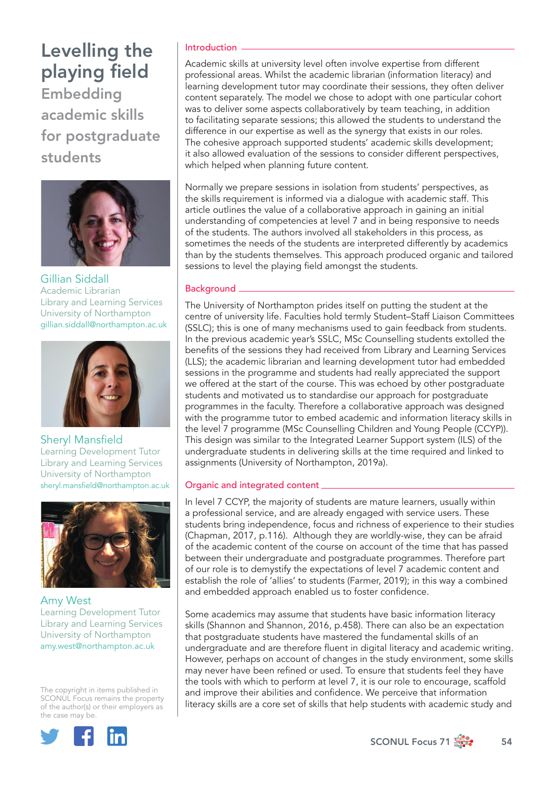Embedding academic skills for postgraduate students



Gillian Siddall Academic Librarian Library and Learning Services University of Northampton [gillian.siddall@northampton.ac.uk](mailto:gillian.siddall%40northampton.ac.uk?subject=)



Sheryl Mansfield Learning Development Tutor Library and Learning Services University of Northampton [sheryl.mansfield@northampton.ac.uk](mailto:sheryl.mansfield%40northampton.ac.uk?subject=)



Amy West Learning Development Tutor Library and Learning Services University of Northampton [amy.west@northampton.ac.uk](mailto:amy.west%40northampton.ac.uk?subject=)

The copyright in items published in SCONUL Focus remains the property of the author(s) or their employers as the case may be.



## Introduction

Academic skills at university level often involve expertise from different professional areas. Whilst the academic librarian (information literacy) and learning development tutor may coordinate their sessions, they often deliver content separately. The model we chose to adopt with one particular cohort was to deliver some aspects collaboratively by team teaching, in addition to facilitating separate sessions; this allowed the students to understand the difference in our expertise as well as the synergy that exists in our roles. The cohesive approach supported students' academic skills development; it also allowed evaluation of the sessions to consider different perspectives, which helped when planning future content.

Normally we prepare sessions in isolation from students' perspectives, as the skills requirement is informed via a dialogue with academic staff. This article outlines the value of a collaborative approach in gaining an initial understanding of competencies at level 7 and in being responsive to needs of the students. The authors involved all stakeholders in this process, as sometimes the needs of the students are interpreted differently by academics than by the students themselves. This approach produced organic and tailored sessions to level the playing field amongst the students.

## Background

The University of Northampton prides itself on putting the student at the centre of university life. Faculties hold termly Student–Staff Liaison Committees (SSLC); this is one of many mechanisms used to gain feedback from students. In the previous academic year's SSLC, MSc Counselling students extolled the benefits of the sessions they had received from Library and Learning Services (LLS); the academic librarian and learning development tutor had embedded sessions in the programme and students had really appreciated the support we offered at the start of the course. This was echoed by other postgraduate students and motivated us to standardise our approach for postgraduate programmes in the faculty. Therefore a collaborative approach was designed with the programme tutor to embed academic and information literacy skills in the level 7 programme (MSc Counselling Children and Young People (CCYP)). This design was similar to the Integrated Learner Support system (ILS) of the undergraduate students in delivering skills at the time required and linked to assignments (University of Northampton, 2019a).

## Organic and integrated content

In level 7 CCYP, the majority of students are mature learners, usually within a professional service, and are already engaged with service users. These students bring independence, focus and richness of experience to their studies (Chapman, 2017, p.116). Although they are worldly-wise, they can be afraid of the academic content of the course on account of the time that has passed between their undergraduate and postgraduate programmes. Therefore part of our role is to demystify the expectations of level 7 academic content and establish the role of 'allies' to students (Farmer, 2019); in this way a combined and embedded approach enabled us to foster confidence.

Some academics may assume that students have basic information literacy skills (Shannon and Shannon, 2016, p.458). There can also be an expectation that postgraduate students have mastered the fundamental skills of an undergraduate and are therefore fluent in digital literacy and academic writing. However, perhaps on account of changes in the study environment, some skills may never have been refined or used. To ensure that students feel they have the tools with which to perform at level 7, it is our role to encourage, scaffold and improve their abilities and confidence. We perceive that information literacy skills are a core set of skills that help students with academic study and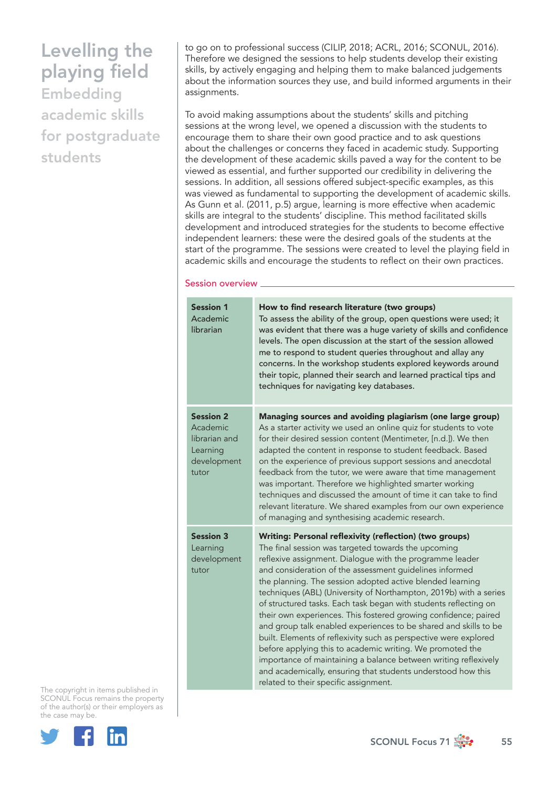Embedding academic skills for postgraduate students

to go on to professional success (CILIP, 2018; ACRL, 2016; SCONUL, 2016). Therefore we designed the sessions to help students develop their existing skills, by actively engaging and helping them to make balanced judgements about the information sources they use, and build informed arguments in their assignments.

To avoid making assumptions about the students' skills and pitching sessions at the wrong level, we opened a discussion with the students to encourage them to share their own good practice and to ask questions about the challenges or concerns they faced in academic study. Supporting the development of these academic skills paved a way for the content to be viewed as essential, and further supported our credibility in delivering the sessions. In addition, all sessions offered subject-specific examples, as this was viewed as fundamental to supporting the development of academic skills. As Gunn et al. (2011, p.5) argue, learning is more effective when academic skills are integral to the students' discipline. This method facilitated skills development and introduced strategies for the students to become effective independent learners: these were the desired goals of the students at the start of the programme. The sessions were created to level the playing field in academic skills and encourage the students to reflect on their own practices.

#### Session overview

| <b>Session 1</b><br>Academic<br>librarian                                         | How to find research literature (two groups)<br>To assess the ability of the group, open questions were used; it<br>was evident that there was a huge variety of skills and confidence<br>levels. The open discussion at the start of the session allowed<br>me to respond to student queries throughout and allay any<br>concerns. In the workshop students explored keywords around<br>their topic, planned their search and learned practical tips and<br>techniques for navigating key databases.                                                                                                                                                                                                                                                                                                                                                                                           |
|-----------------------------------------------------------------------------------|-------------------------------------------------------------------------------------------------------------------------------------------------------------------------------------------------------------------------------------------------------------------------------------------------------------------------------------------------------------------------------------------------------------------------------------------------------------------------------------------------------------------------------------------------------------------------------------------------------------------------------------------------------------------------------------------------------------------------------------------------------------------------------------------------------------------------------------------------------------------------------------------------|
| <b>Session 2</b><br>Academic<br>librarian and<br>Learning<br>development<br>tutor | Managing sources and avoiding plagiarism (one large group)<br>As a starter activity we used an online quiz for students to vote<br>for their desired session content (Mentimeter, [n.d.]). We then<br>adapted the content in response to student feedback. Based<br>on the experience of previous support sessions and anecdotal<br>feedback from the tutor, we were aware that time management<br>was important. Therefore we highlighted smarter working<br>techniques and discussed the amount of time it can take to find<br>relevant literature. We shared examples from our own experience<br>of managing and synthesising academic research.                                                                                                                                                                                                                                             |
| <b>Session 3</b><br>Learning<br>development<br>tutor                              | Writing: Personal reflexivity (reflection) (two groups)<br>The final session was targeted towards the upcoming<br>reflexive assignment. Dialogue with the programme leader<br>and consideration of the assessment guidelines informed<br>the planning. The session adopted active blended learning<br>techniques (ABL) (University of Northampton, 2019b) with a series<br>of structured tasks. Each task began with students reflecting on<br>their own experiences. This fostered growing confidence; paired<br>and group talk enabled experiences to be shared and skills to be<br>built. Elements of reflexivity such as perspective were explored<br>before applying this to academic writing. We promoted the<br>importance of maintaining a balance between writing reflexively<br>and academically, ensuring that students understood how this<br>related to their specific assignment. |

The copyright in items published in SCONUL Focus remains the property of the author(s) or their employers as the case may be.



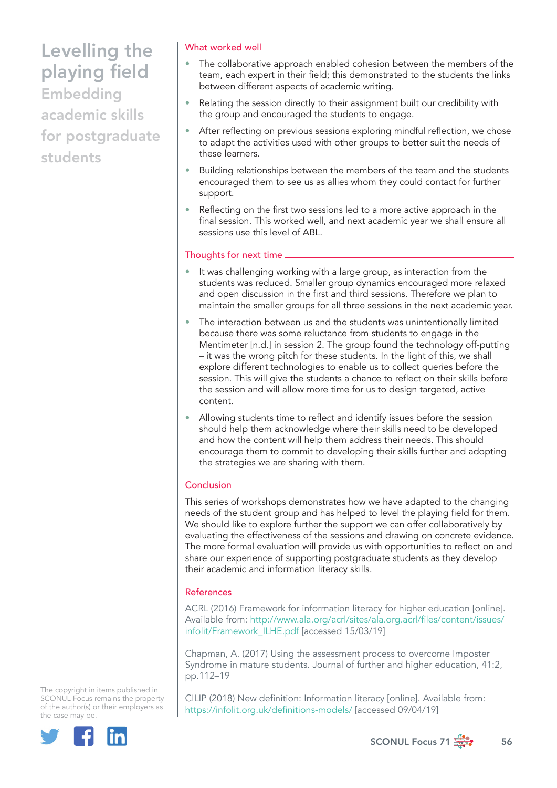Embedding academic skills for postgraduate students

### What worked well

- The collaborative approach enabled cohesion between the members of the team, each expert in their field; this demonstrated to the students the links between different aspects of academic writing.
- Relating the session directly to their assignment built our credibility with the group and encouraged the students to engage.
- After reflecting on previous sessions exploring mindful reflection, we chose to adapt the activities used with other groups to better suit the needs of these learners.
- Building relationships between the members of the team and the students encouraged them to see us as allies whom they could contact for further support.
- Reflecting on the first two sessions led to a more active approach in the final session. This worked well, and next academic year we shall ensure all sessions use this level of ABL.

## Thoughts for next time

- It was challenging working with a large group, as interaction from the students was reduced. Smaller group dynamics encouraged more relaxed and open discussion in the first and third sessions. Therefore we plan to maintain the smaller groups for all three sessions in the next academic year.
- The interaction between us and the students was unintentionally limited because there was some reluctance from students to engage in the Mentimeter [n.d.] in session 2. The group found the technology off-putting – it was the wrong pitch for these students. In the light of this, we shall explore different technologies to enable us to collect queries before the session. This will give the students a chance to reflect on their skills before the session and will allow more time for us to design targeted, active content.
- Allowing students time to reflect and identify issues before the session should help them acknowledge where their skills need to be developed and how the content will help them address their needs. This should encourage them to commit to developing their skills further and adopting the strategies we are sharing with them.

### Conclusion .

This series of workshops demonstrates how we have adapted to the changing needs of the student group and has helped to level the playing field for them. We should like to explore further the support we can offer collaboratively by evaluating the effectiveness of the sessions and drawing on concrete evidence. The more formal evaluation will provide us with opportunities to reflect on and share our experience of supporting postgraduate students as they develop their academic and information literacy skills.

#### References

ACRL (2016) Framework for information literacy for higher education [online]. Available from: [http://www.ala.org/acrl/sites/ala.org.acrl/files/content/issues/](http://www.ala.org/acrl/sites/ala.org.acrl/files/content/issues/infolit/Framework_ILHE.pdf) [infolit/Framework\\_ILHE.pdf](http://www.ala.org/acrl/sites/ala.org.acrl/files/content/issues/infolit/Framework_ILHE.pdf) [accessed 15/03/19]

Chapman, A. (2017) Using the assessment process to overcome Imposter Syndrome in mature students. Journal of further and higher education, 41:2, pp.112–19

CILIP (2018) New definition: Information literacy [online]. Available from: <https://infolit.org.uk/definitions-models/> [accessed 09/04/19]

The copyright in items published in SCONUL Focus remains the property of the author(s) or their employers as the case may be.